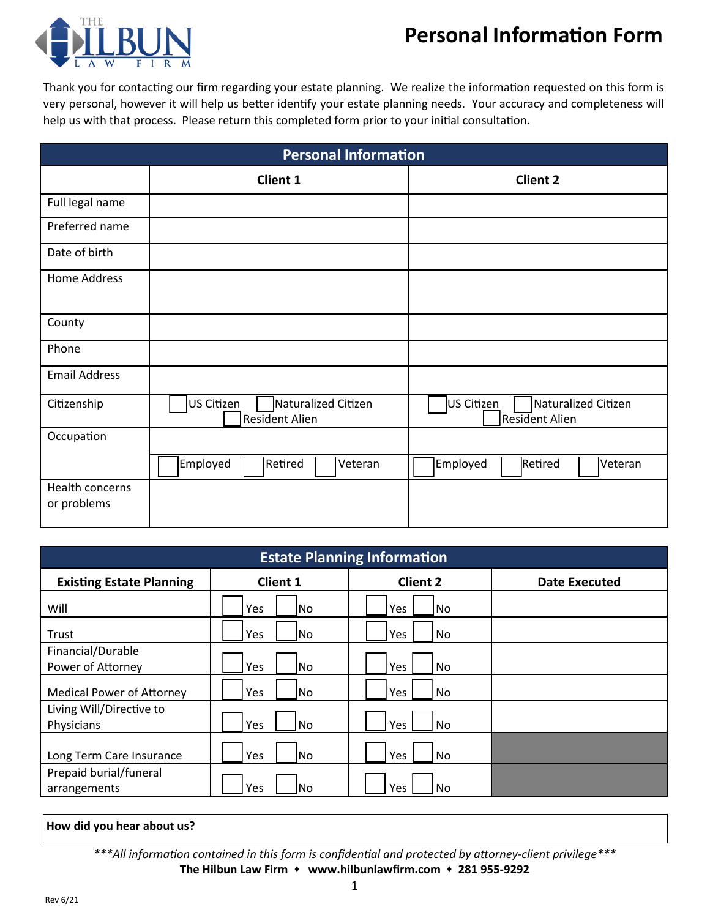# **Personal Information Form**



Thank you for contacting our firm regarding your estate planning. We realize the information requested on this form is very personal, however it will help us better identify your estate planning needs. Your accuracy and completeness will help us with that process. Please return this completed form prior to your initial consultation.

| <b>Personal Information</b>    |                                                            |                                                     |  |  |
|--------------------------------|------------------------------------------------------------|-----------------------------------------------------|--|--|
|                                | <b>Client 1</b>                                            | <b>Client 2</b>                                     |  |  |
| Full legal name                |                                                            |                                                     |  |  |
| Preferred name                 |                                                            |                                                     |  |  |
| Date of birth                  |                                                            |                                                     |  |  |
| Home Address                   |                                                            |                                                     |  |  |
| County                         |                                                            |                                                     |  |  |
| Phone                          |                                                            |                                                     |  |  |
| <b>Email Address</b>           |                                                            |                                                     |  |  |
| Citizenship                    | US Citizen<br>Naturalized Citizen<br><b>Resident Alien</b> | US Citizen<br>Naturalized Citizen<br>Resident Alien |  |  |
| Occupation                     |                                                            |                                                     |  |  |
|                                | Employed<br>Retired<br>Veteran                             | Retired<br>Employed<br>Veteran                      |  |  |
| Health concerns<br>or problems |                                                            |                                                     |  |  |

| <b>Estate Planning Information</b>     |                 |                 |                      |  |  |
|----------------------------------------|-----------------|-----------------|----------------------|--|--|
| <b>Existing Estate Planning</b>        | <b>Client 1</b> | <b>Client 2</b> | <b>Date Executed</b> |  |  |
| Will                                   | Yes<br>lNo.     | Yes<br>No.      |                      |  |  |
| Trust                                  | Yes<br>No       | Yes<br>No       |                      |  |  |
| Financial/Durable<br>Power of Attorney | Yes<br>No       | Yes<br>No       |                      |  |  |
| <b>Medical Power of Attorney</b>       | Yes<br>No       | Yes<br>No       |                      |  |  |
| Living Will/Directive to<br>Physicians | Yes<br>No.      | Yes<br>No       |                      |  |  |
| Long Term Care Insurance               | Yes<br>No       | Yes<br>No       |                      |  |  |
| Prepaid burial/funeral<br>arrangements | Yes<br>No       | Yes<br>No.      |                      |  |  |

#### **How did you hear about us?**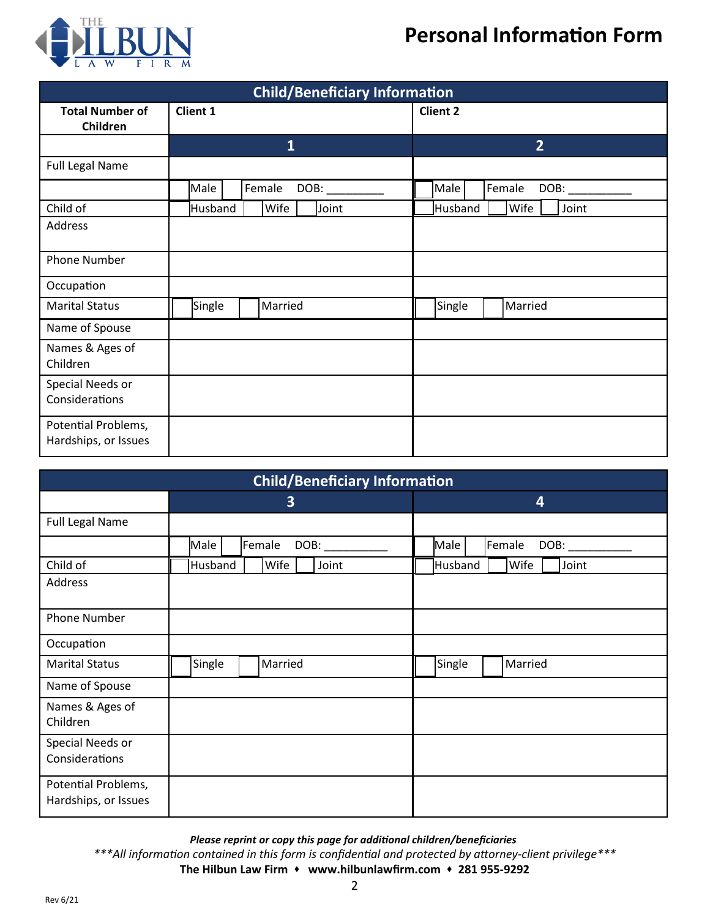### **Personal Information Form**



| <b>Child/Beneficiary Information</b>        |                          |                          |  |  |  |
|---------------------------------------------|--------------------------|--------------------------|--|--|--|
| <b>Total Number of</b><br>Children          | <b>Client 1</b>          | <b>Client 2</b>          |  |  |  |
|                                             | $\mathbf{1}$             | $\overline{2}$           |  |  |  |
| <b>Full Legal Name</b>                      |                          |                          |  |  |  |
|                                             | Male<br>Female<br>DOB:   | Male<br>Female<br>DOB:   |  |  |  |
| Child of                                    | Wife<br>Husband<br>Joint | Wife<br>Husband<br>Joint |  |  |  |
| Address                                     |                          |                          |  |  |  |
| <b>Phone Number</b>                         |                          |                          |  |  |  |
| Occupation                                  |                          |                          |  |  |  |
| <b>Marital Status</b>                       | Single<br>Married        | Single<br>Married        |  |  |  |
| Name of Spouse                              |                          |                          |  |  |  |
| Names & Ages of<br>Children                 |                          |                          |  |  |  |
| Special Needs or<br>Considerations          |                          |                          |  |  |  |
| Potential Problems,<br>Hardships, or Issues |                          |                          |  |  |  |

| <b>Child/Beneficiary Information</b>        |                          |                          |  |  |  |
|---------------------------------------------|--------------------------|--------------------------|--|--|--|
|                                             | 3                        | 4                        |  |  |  |
| <b>Full Legal Name</b>                      |                          |                          |  |  |  |
|                                             | Female<br>Male<br>DOB:   | Female<br>Male<br>DOB:   |  |  |  |
| Child of                                    | Husband<br>Wife<br>Joint | Wife<br>Joint<br>Husband |  |  |  |
| Address                                     |                          |                          |  |  |  |
| <b>Phone Number</b>                         |                          |                          |  |  |  |
| Occupation                                  |                          |                          |  |  |  |
| <b>Marital Status</b>                       | Single<br>Married        | Single<br>Married        |  |  |  |
| Name of Spouse                              |                          |                          |  |  |  |
| Names & Ages of<br>Children                 |                          |                          |  |  |  |
| Special Needs or<br>Considerations          |                          |                          |  |  |  |
| Potential Problems,<br>Hardships, or Issues |                          |                          |  |  |  |

*\*\*\*All information contained in this form is confidential and protected by attorney-client privilege\*\*\** **The Hilbun Law Firm** ⬧ **www.hilbunlawfirm.com** ⬧ **281 955-9292** *Please reprint or copy this page for additional children/beneficiaries*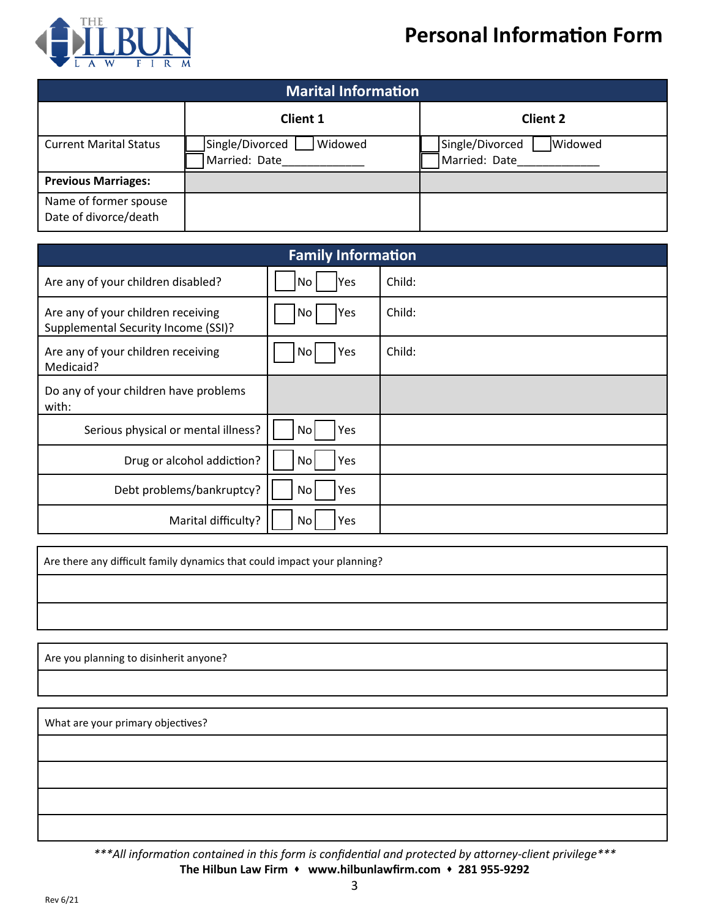# **Personal Information Form**



| <b>Marital Information</b>                     |                                               |                                             |  |  |  |  |
|------------------------------------------------|-----------------------------------------------|---------------------------------------------|--|--|--|--|
|                                                | <b>Client 1</b>                               | <b>Client 2</b>                             |  |  |  |  |
| <b>Current Marital Status</b>                  | Single/Divorced L<br>Widowed<br>Married: Date | Single/Divorced<br>Widowed<br>Married: Date |  |  |  |  |
| <b>Previous Marriages:</b>                     |                                               |                                             |  |  |  |  |
| Name of former spouse<br>Date of divorce/death |                                               |                                             |  |  |  |  |

| <b>Family Information</b>                                                 |                        |        |  |  |
|---------------------------------------------------------------------------|------------------------|--------|--|--|
| Are any of your children disabled?                                        | Yes<br>No              | Child: |  |  |
| Are any of your children receiving<br>Supplemental Security Income (SSI)? | Yes<br>No              | Child: |  |  |
| Are any of your children receiving<br>Medicaid?                           | Yes<br>No              | Child: |  |  |
| Do any of your children have problems<br>with:                            |                        |        |  |  |
| Serious physical or mental illness?                                       | No<br>Yes              |        |  |  |
| Drug or alcohol addiction?                                                | Yes<br>No <sub>l</sub> |        |  |  |
| Debt problems/bankruptcy?                                                 | Yes<br>No              |        |  |  |
| Marital difficulty?                                                       | Yes<br>Nol             |        |  |  |

Are there any difficult family dynamics that could impact your planning?

Are you planning to disinherit anyone?

What are your primary objectives?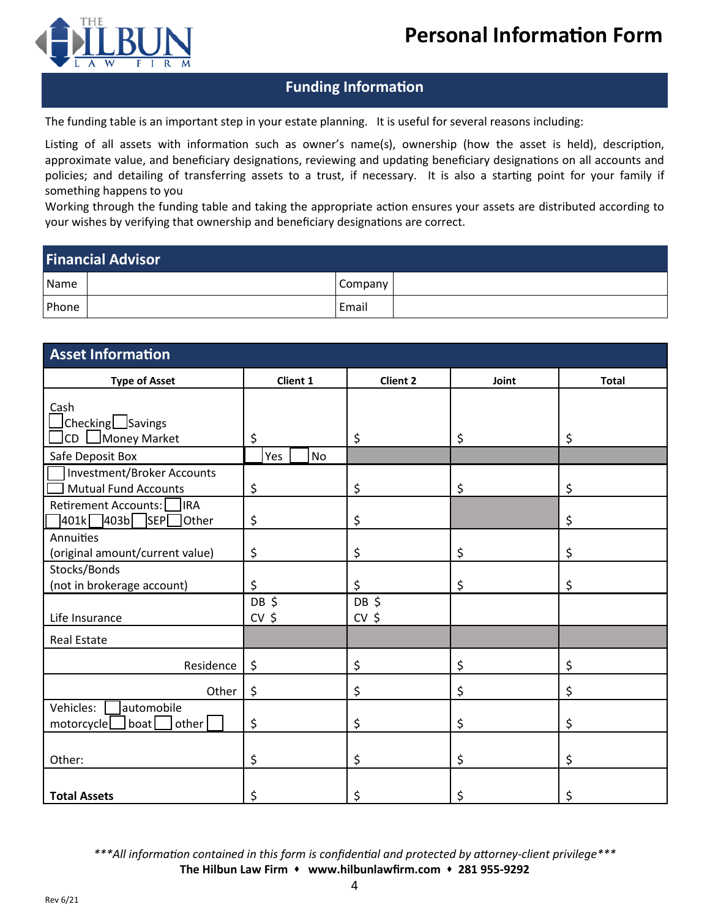

### **Funding Information**

The funding table is an important step in your estate planning. It is useful for several reasons including:

Listing of all assets with information such as owner's name(s), ownership (how the asset is held), description, approximate value, and beneficiary designations, reviewing and updating beneficiary designations on all accounts and policies; and detailing of transferring assets to a trust, if necessary. It is also a starting point for your family if something happens to you

Working through the funding table and taking the appropriate action ensures your assets are distributed according to your wishes by verifying that ownership and beneficiary designations are correct.

### **Financial Advisor**

| Name  |  | Company |  |  |
|-------|--|---------|--|--|
| Phone |  | Email   |  |  |

| <b>Asset Information</b>                                           |                  |                 |       |              |  |  |
|--------------------------------------------------------------------|------------------|-----------------|-------|--------------|--|--|
| <b>Type of Asset</b>                                               | Client 1         | <b>Client 2</b> | Joint | <b>Total</b> |  |  |
| Cash<br>$\Box$ Checking $\Box$ Savings<br>Money Market<br>CD       | \$               | \$              | \$    | \$           |  |  |
| Safe Deposit Box                                                   | Yes<br><b>No</b> |                 |       |              |  |  |
| Investment/Broker Accounts<br><b>Mutual Fund Accounts</b>          | \$               | \$              | \$    | \$           |  |  |
| Retirement Accounts:<br><b>IRA</b><br>$\sqrt{401k}$ 403b SEP Other | \$               | \$              |       | \$           |  |  |
| Annuities<br>(original amount/current value)                       | \$               | \$              | \$    | \$           |  |  |
| Stocks/Bonds<br>(not in brokerage account)                         | \$               | \$              | \$    | \$           |  |  |
| Life Insurance                                                     | DB \$<br>$CV$ \$ | DB\$<br>$CV$ \$ |       |              |  |  |
| <b>Real Estate</b>                                                 |                  |                 |       |              |  |  |
| Residence                                                          | \$               | \$              | \$    | \$           |  |  |
| Other                                                              | \$               | \$              | \$    | \$           |  |  |
| automobile<br>Vehicles:<br>other<br>boat<br>motorcycle             | \$               | \$              | \$    | \$           |  |  |
| Other:                                                             | \$               | \$              | \$    | \$           |  |  |
| <b>Total Assets</b>                                                | \$               | \$              | \$    | \$           |  |  |